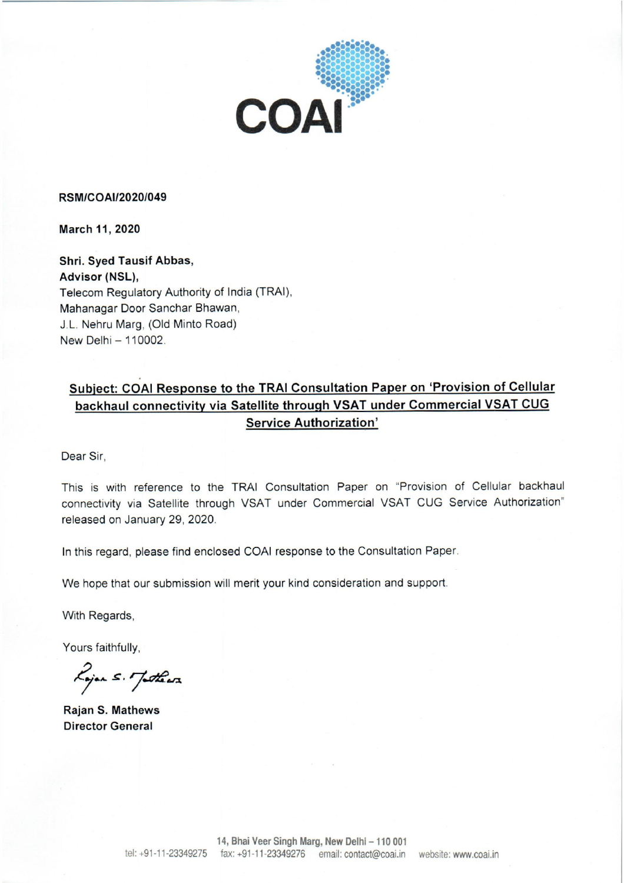

#### **RSM/COAI/2020/049**

March 11, 2020

Shri. Syed Tausif Abbas, Advisor (NSL), Telecom Regulatory Authority of India (TRAI), Mahanagar Door Sanchar Bhawan, J.L. Nehru Marg, (Old Minto Road) New Delhi - 110002.

# Subject: COAI Response to the TRAI Consultation Paper on 'Provision of Cellular backhaul connectivity via Satellite through VSAT under Commercial VSAT CUG **Service Authorization'**

Dear Sir.

This is with reference to the TRAI Consultation Paper on "Provision of Cellular backhaul connectivity via Satellite through VSAT under Commercial VSAT CUG Service Authorization" released on January 29, 2020.

In this regard, please find enclosed COAI response to the Consultation Paper.

We hope that our submission will merit your kind consideration and support.

With Regards,

Yours faithfully,

Lojan S. Jathara

**Rajan S. Mathews Director General**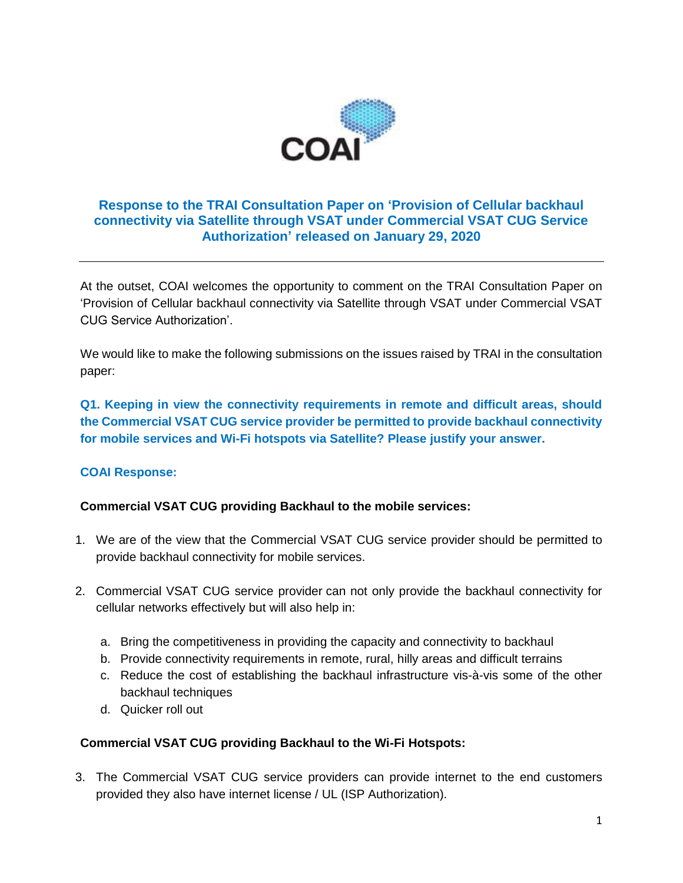

# **Response to the TRAI Consultation Paper on 'Provision of Cellular backhaul connectivity via Satellite through VSAT under Commercial VSAT CUG Service Authorization' released on January 29, 2020**

At the outset, COAI welcomes the opportunity to comment on the TRAI Consultation Paper on 'Provision of Cellular backhaul connectivity via Satellite through VSAT under Commercial VSAT CUG Service Authorization'.

We would like to make the following submissions on the issues raised by TRAI in the consultation paper:

**Q1. Keeping in view the connectivity requirements in remote and difficult areas, should the Commercial VSAT CUG service provider be permitted to provide backhaul connectivity for mobile services and Wi-Fi hotspots via Satellite? Please justify your answer.**

# **COAI Response:**

# **Commercial VSAT CUG providing Backhaul to the mobile services:**

- 1. We are of the view that the Commercial VSAT CUG service provider should be permitted to provide backhaul connectivity for mobile services.
- 2. Commercial VSAT CUG service provider can not only provide the backhaul connectivity for cellular networks effectively but will also help in:
	- a. Bring the competitiveness in providing the capacity and connectivity to backhaul
	- b. Provide connectivity requirements in remote, rural, hilly areas and difficult terrains
	- c. Reduce the cost of establishing the backhaul infrastructure vis-à-vis some of the other backhaul techniques
	- d. Quicker roll out

# **Commercial VSAT CUG providing Backhaul to the Wi-Fi Hotspots:**

3. The Commercial VSAT CUG service providers can provide internet to the end customers provided they also have internet license / UL (ISP Authorization).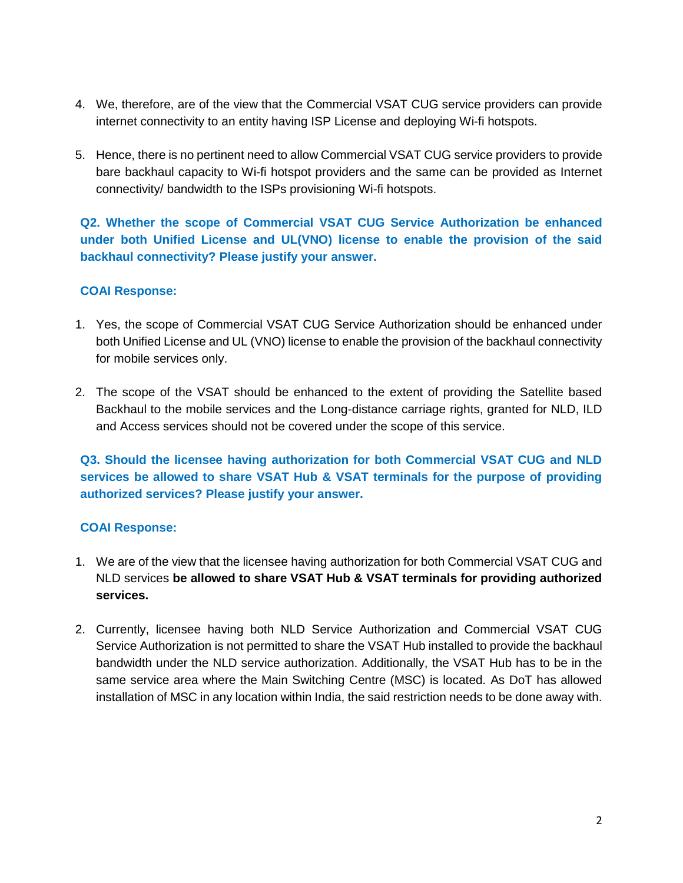- 4. We, therefore, are of the view that the Commercial VSAT CUG service providers can provide internet connectivity to an entity having ISP License and deploying Wi-fi hotspots.
- 5. Hence, there is no pertinent need to allow Commercial VSAT CUG service providers to provide bare backhaul capacity to Wi-fi hotspot providers and the same can be provided as Internet connectivity/ bandwidth to the ISPs provisioning Wi-fi hotspots.

**Q2. Whether the scope of Commercial VSAT CUG Service Authorization be enhanced under both Unified License and UL(VNO) license to enable the provision of the said backhaul connectivity? Please justify your answer.** 

# **COAI Response:**

- 1. Yes, the scope of Commercial VSAT CUG Service Authorization should be enhanced under both Unified License and UL (VNO) license to enable the provision of the backhaul connectivity for mobile services only.
- 2. The scope of the VSAT should be enhanced to the extent of providing the Satellite based Backhaul to the mobile services and the Long-distance carriage rights, granted for NLD, ILD and Access services should not be covered under the scope of this service.

**Q3. Should the licensee having authorization for both Commercial VSAT CUG and NLD services be allowed to share VSAT Hub & VSAT terminals for the purpose of providing authorized services? Please justify your answer.** 

# **COAI Response:**

- 1. We are of the view that the licensee having authorization for both Commercial VSAT CUG and NLD services **be allowed to share VSAT Hub & VSAT terminals for providing authorized services.**
- 2. Currently, licensee having both NLD Service Authorization and Commercial VSAT CUG Service Authorization is not permitted to share the VSAT Hub installed to provide the backhaul bandwidth under the NLD service authorization. Additionally, the VSAT Hub has to be in the same service area where the Main Switching Centre (MSC) is located. As DoT has allowed installation of MSC in any location within India, the said restriction needs to be done away with.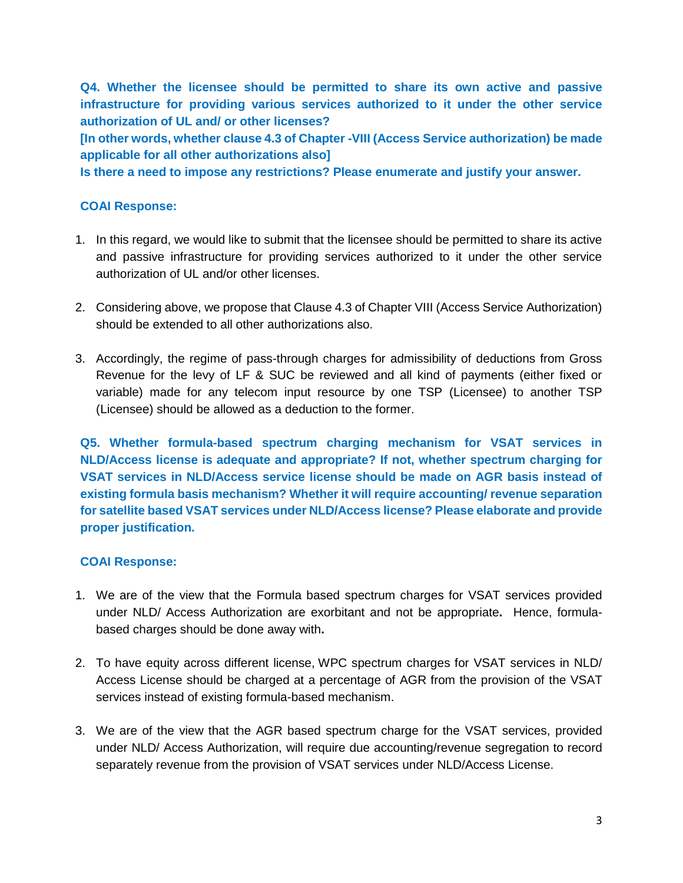**Q4. Whether the licensee should be permitted to share its own active and passive infrastructure for providing various services authorized to it under the other service authorization of UL and/ or other licenses?** 

**[In other words, whether clause 4.3 of Chapter -VIII (Access Service authorization) be made applicable for all other authorizations also]** 

**Is there a need to impose any restrictions? Please enumerate and justify your answer.** 

#### **COAI Response:**

- 1. In this regard, we would like to submit that the licensee should be permitted to share its active and passive infrastructure for providing services authorized to it under the other service authorization of UL and/or other licenses.
- 2. Considering above, we propose that Clause 4.3 of Chapter VIII (Access Service Authorization) should be extended to all other authorizations also.
- 3. Accordingly, the regime of pass-through charges for admissibility of deductions from Gross Revenue for the levy of LF & SUC be reviewed and all kind of payments (either fixed or variable) made for any telecom input resource by one TSP (Licensee) to another TSP (Licensee) should be allowed as a deduction to the former.

**Q5. Whether formula-based spectrum charging mechanism for VSAT services in NLD/Access license is adequate and appropriate? If not, whether spectrum charging for VSAT services in NLD/Access service license should be made on AGR basis instead of existing formula basis mechanism? Whether it will require accounting/ revenue separation for satellite based VSAT services under NLD/Access license? Please elaborate and provide proper justification.** 

#### **COAI Response:**

- 1. We are of the view that the Formula based spectrum charges for VSAT services provided under NLD/ Access Authorization are exorbitant and not be appropriate**.** Hence, formulabased charges should be done away with**.**
- 2. To have equity across different license, WPC spectrum charges for VSAT services in NLD/ Access License should be charged at a percentage of AGR from the provision of the VSAT services instead of existing formula-based mechanism.
- 3. We are of the view that the AGR based spectrum charge for the VSAT services, provided under NLD/ Access Authorization, will require due accounting/revenue segregation to record separately revenue from the provision of VSAT services under NLD/Access License.